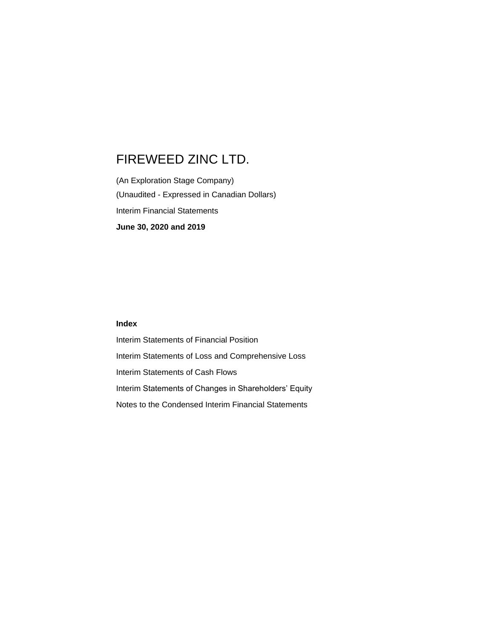(An Exploration Stage Company) (Unaudited - Expressed in Canadian Dollars) Interim Financial Statements **June 30, 2020 and 2019**

#### **Index**

Interim Statements of Financial Position Interim Statements of Loss and Comprehensive Loss Interim Statements of Cash Flows Interim Statements of Changes in Shareholders' Equity Notes to the Condensed Interim Financial Statements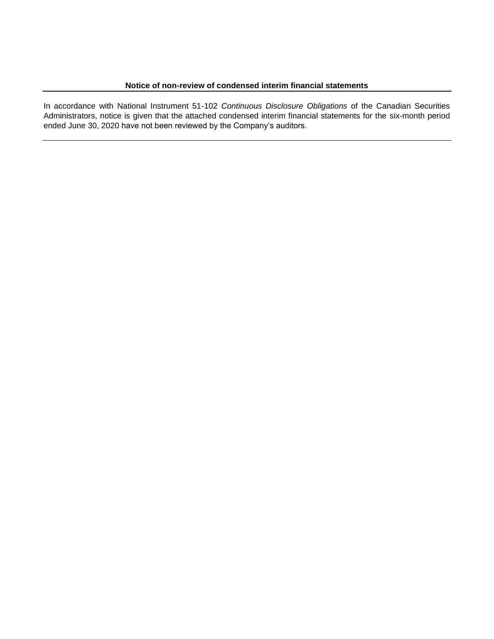In accordance with National Instrument 51-102 *Continuous Disclosure Obligations* of the Canadian Securities Administrators, notice is given that the attached condensed interim financial statements for the six-month period ended June 30, 2020 have not been reviewed by the Company's auditors.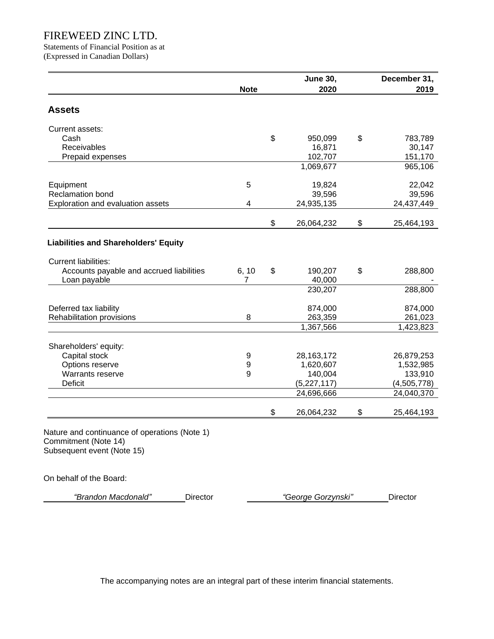Statements of Financial Position as at (Expressed in Canadian Dollars)

|                                                                                                     |             | <b>June 30,</b>  | December 31,     |
|-----------------------------------------------------------------------------------------------------|-------------|------------------|------------------|
|                                                                                                     | <b>Note</b> | 2020             | 2019             |
| <b>Assets</b>                                                                                       |             |                  |                  |
| Current assets:                                                                                     |             |                  |                  |
| Cash                                                                                                |             | \$<br>950,099    | \$<br>783,789    |
| Receivables                                                                                         |             | 16,871           | 30,147           |
| Prepaid expenses                                                                                    |             | 102,707          | 151,170          |
|                                                                                                     |             | 1,069,677        | 965,106          |
| Equipment                                                                                           | 5           | 19,824           | 22,042           |
| <b>Reclamation bond</b>                                                                             |             | 39,596           | 39,596           |
| Exploration and evaluation assets                                                                   | 4           | 24,935,135       | 24,437,449       |
|                                                                                                     |             | \$<br>26,064,232 | \$<br>25,464,193 |
| <b>Liabilities and Shareholders' Equity</b>                                                         |             |                  |                  |
| <b>Current liabilities:</b>                                                                         |             |                  |                  |
| Accounts payable and accrued liabilities                                                            | 6, 10       | \$<br>190,207    | \$<br>288,800    |
| Loan payable                                                                                        | 7           | 40,000           |                  |
|                                                                                                     |             | 230,207          | 288,800          |
| Deferred tax liability                                                                              |             | 874,000          | 874,000          |
| Rehabilitation provisions                                                                           | 8           | 263,359          | 261,023          |
|                                                                                                     |             | 1,367,566        | 1,423,823        |
| Shareholders' equity:                                                                               |             |                  |                  |
| Capital stock                                                                                       | 9           | 28,163,172       | 26,879,253       |
| Options reserve                                                                                     | 9           | 1,620,607        | 1,532,985        |
| Warrants reserve                                                                                    | 9           | 140,004          | 133,910          |
| Deficit                                                                                             |             | (5,227,117)      | (4,505,778)      |
|                                                                                                     |             | 24,696,666       | 24,040,370       |
|                                                                                                     |             | \$<br>26,064,232 | \$<br>25,464,193 |
| Nature and continuance of operations (Note 1)<br>Commitment (Note 14)<br>Subsequent event (Note 15) |             |                  |                  |
|                                                                                                     |             |                  |                  |

On behalf of the Board:

*"Brandon Macdonald"* Director *"George Gorzynski"* Director

The accompanying notes are an integral part of these interim financial statements.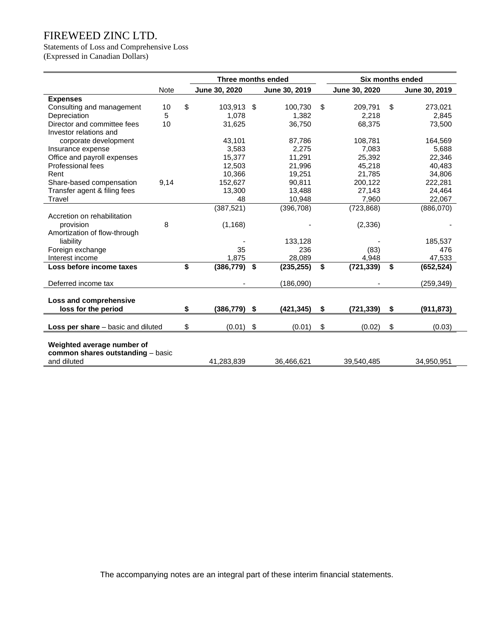# Statements of Loss and Comprehensive Loss

(Expressed in Canadian Dollars)

|                                                                                |            |    | Three months ended |            |               | <b>Six months ended</b> |    |               |
|--------------------------------------------------------------------------------|------------|----|--------------------|------------|---------------|-------------------------|----|---------------|
|                                                                                | Note       |    | June 30, 2020      |            | June 30, 2019 | June 30, 2020           |    | June 30, 2019 |
| <b>Expenses</b>                                                                |            |    |                    |            |               |                         |    |               |
| Consulting and management                                                      | 10         | \$ | 103,913            | -\$        | 100,730       | \$<br>209,791           | \$ | 273,021       |
| Depreciation                                                                   | 5          |    | 1.078              |            | 1,382         | 2,218                   |    | 2.845         |
| Director and committee fees<br>Investor relations and                          | 10         |    | 31,625             |            | 36,750        | 68,375                  |    | 73,500        |
| corporate development                                                          |            |    | 43,101             |            | 87,786        | 108,781                 |    | 164,569       |
| Insurance expense                                                              |            |    | 3,583              |            | 2,275         | 7,083                   |    | 5,688         |
| Office and payroll expenses                                                    |            |    | 15,377             |            | 11,291        | 25,392                  |    | 22,346        |
| Professional fees                                                              |            |    | 12,503             |            | 21,996        | 45,218                  |    | 40,483        |
| Rent                                                                           |            |    | 10,366             |            | 19,251        | 21,785                  |    | 34,806        |
| Share-based compensation                                                       | 9,14       |    | 152,627            |            | 90,811        | 200,122                 |    | 222,281       |
| Transfer agent & filing fees                                                   |            |    | 13,300             |            | 13,488        | 27,143                  |    | 24,464        |
| Travel                                                                         |            |    | 48                 |            | 10,948        | 7,960                   |    | 22,067        |
|                                                                                |            |    | (387, 521)         |            | (396, 708)    | (723, 868)              |    | (886,070)     |
| Accretion on rehabilitation                                                    |            |    |                    |            |               |                         |    |               |
| provision                                                                      | 8          |    | (1, 168)           |            |               | (2, 336)                |    |               |
| Amortization of flow-through                                                   |            |    |                    |            |               |                         |    |               |
| liability                                                                      |            |    |                    |            | 133,128       |                         |    | 185,537       |
| Foreign exchange                                                               |            |    | 35                 |            | 236           | (83)                    |    | 476           |
| Interest income                                                                |            |    | 1,875              |            | 28,089        | 4,948                   |    | 47,533        |
| Loss before income taxes                                                       |            | \$ | (386, 779)         | \$         | (235, 255)    | \$<br>(721, 339)        | \$ | (652, 524)    |
| Deferred income tax                                                            |            |    |                    |            | (186,090)     |                         |    | (259, 349)    |
| Loss and comprehensive<br>loss for the period                                  |            | \$ | (386, 779)         | \$         | (421, 345)    | \$<br>(721, 339)        | S  | (911, 873)    |
|                                                                                |            |    |                    |            |               |                         |    |               |
| <b>Loss per share</b> – basic and diluted                                      |            | \$ | (0.01)             | \$         | (0.01)        | \$<br>(0.02)            | \$ | (0.03)        |
| Weighted average number of<br>common shares outstanding - basic<br>and diluted | 41,283,839 |    | 36,466,621         | 39,540,485 |               | 34,950,951              |    |               |
|                                                                                |            |    |                    |            |               |                         |    |               |

The accompanying notes are an integral part of these interim financial statements.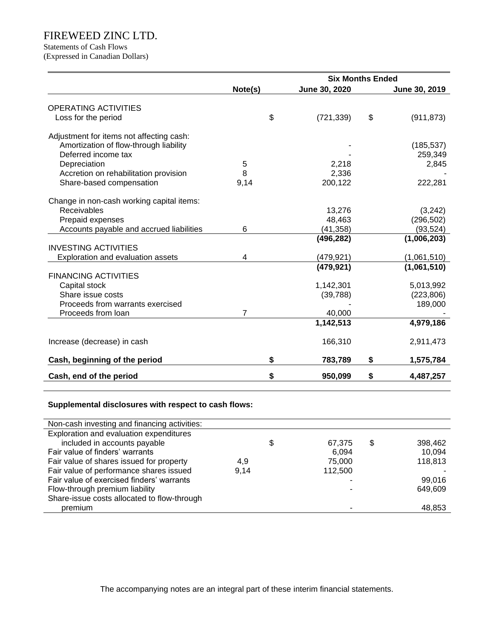Statements of Cash Flows

(Expressed in Canadian Dollars)

|                                           |         | <b>Six Months Ended</b> |                  |
|-------------------------------------------|---------|-------------------------|------------------|
|                                           | Note(s) | June 30, 2020           | June 30, 2019    |
| <b>OPERATING ACTIVITIES</b>               |         |                         |                  |
| Loss for the period                       | \$      | (721, 339)              | \$<br>(911, 873) |
|                                           |         |                         |                  |
| Adjustment for items not affecting cash:  |         |                         |                  |
| Amortization of flow-through liability    |         |                         | (185, 537)       |
| Deferred income tax                       |         |                         | 259,349          |
| Depreciation                              | 5       | 2,218                   | 2,845            |
| Accretion on rehabilitation provision     | 8       | 2,336                   |                  |
| Share-based compensation                  | 9,14    | 200,122                 | 222,281          |
| Change in non-cash working capital items: |         |                         |                  |
| <b>Receivables</b>                        |         | 13,276                  | (3,242)          |
| Prepaid expenses                          |         | 48,463                  | (296, 502)       |
| Accounts payable and accrued liabilities  | 6       | (41, 358)               | (93, 524)        |
|                                           |         | (496, 282)              | (1,006,203)      |
| <b>INVESTING ACTIVITIES</b>               |         |                         |                  |
| Exploration and evaluation assets         | 4       | (479, 921)              | (1,061,510)      |
|                                           |         | (479, 921)              | (1,061,510)      |
| <b>FINANCING ACTIVITIES</b>               |         |                         |                  |
| Capital stock                             |         | 1,142,301               | 5,013,992        |
| Share issue costs                         |         | (39, 788)               | (223, 806)       |
| Proceeds from warrants exercised          |         |                         | 189,000          |
| Proceeds from loan                        | 7       | 40,000                  |                  |
|                                           |         | 1,142,513               | 4,979,186        |
| Increase (decrease) in cash               |         | 166,310                 | 2,911,473        |
| Cash, beginning of the period             | \$      | 783,789                 | \$<br>1,575,784  |
| Cash, end of the period                   | \$      | 950,099                 | \$<br>4,487,257  |

### **Supplemental disclosures with respect to cash flows:**

| Non-cash investing and financing activities: |      |              |               |
|----------------------------------------------|------|--------------|---------------|
| Exploration and evaluation expenditures      |      |              |               |
| included in accounts payable                 |      | \$<br>67,375 | \$<br>398,462 |
| Fair value of finders' warrants              |      | 6.094        | 10,094        |
| Fair value of shares issued for property     | 4,9  | 75,000       | 118,813       |
| Fair value of performance shares issued      | 9.14 | 112,500      |               |
| Fair value of exercised finders' warrants    |      | ۰            | 99,016        |
| Flow-through premium liability               |      |              | 649,609       |
| Share-issue costs allocated to flow-through  |      |              |               |
| premium                                      |      |              | 48,853        |

The accompanying notes are an integral part of these interim financial statements.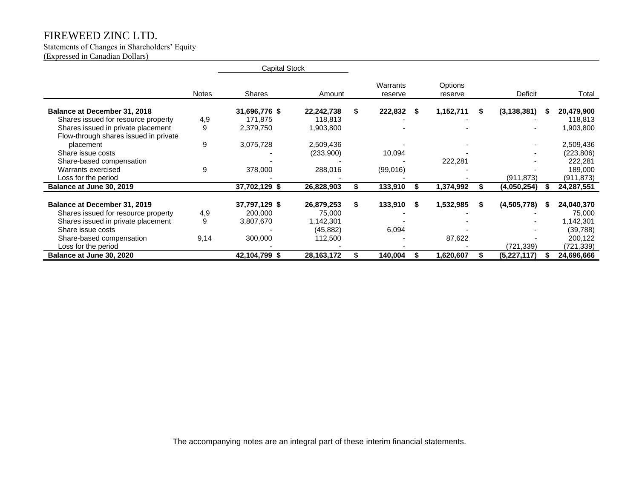Statements of Changes in Shareholders' Equity (Expressed in Canadian Dollars)

|                                       |              | <b>Capital Stock</b> |              |    |                     |      |                    |    |               |      |            |
|---------------------------------------|--------------|----------------------|--------------|----|---------------------|------|--------------------|----|---------------|------|------------|
|                                       | <b>Notes</b> | Shares               | Amount       |    | Warrants<br>reserve |      | Options<br>reserve |    | Deficit       |      | Total      |
| Balance at December 31, 2018          |              | 31,696,776 \$        | 22,242,738   | S. | 222,832             | - 56 | 1,152,711          | S. | (3, 138, 381) | - 55 | 20,479,900 |
| Shares issued for resource property   | 4,9          | 171,875              | 118,813      |    |                     |      |                    |    |               |      | 118,813    |
| Shares issued in private placement    | 9            | 2,379,750            | 1,903,800    |    |                     |      |                    |    |               |      | 1,903,800  |
| Flow-through shares issued in private |              |                      |              |    |                     |      |                    |    |               |      |            |
| placement                             | 9            | 3,075,728            | 2,509,436    |    |                     |      |                    |    |               |      | 2,509,436  |
| Share issue costs                     |              |                      | (233,900)    |    | 10,094              |      |                    |    |               |      | (223, 806) |
| Share-based compensation              |              |                      |              |    |                     |      | 222,281            |    |               |      | 222,281    |
| Warrants exercised                    | 9            | 378,000              | 288,016      |    | (99,016)            |      |                    |    |               |      | 189,000    |
| Loss for the period                   |              |                      |              |    |                     |      |                    |    | (911, 873)    |      | (911, 873) |
| Balance at June 30, 2019              |              | 37,702,129 \$        | 26,828,903   |    | 133,910             |      | 1,374,992          |    | (4,050,254)   |      | 24,287,551 |
| Balance at December 31, 2019          |              | 37,797,129 \$        | 26,879,253   | \$ | 133,910             | -S   | 1,532,985          | -S | (4,505,778)   | - 55 | 24,040,370 |
| Shares issued for resource property   | 4,9          | 200,000              | 75,000       |    |                     |      |                    |    |               |      | 75,000     |
| Shares issued in private placement    | 9            | 3,807,670            | 1,142,301    |    |                     |      |                    |    |               |      | 1,142,301  |
| Share issue costs                     |              |                      | (45, 882)    |    | 6,094               |      |                    |    |               |      | (39, 788)  |
| Share-based compensation              | 9,14         | 300,000              | 112,500      |    |                     |      | 87,622             |    |               |      | 200,122    |
| Loss for the period                   |              |                      |              |    |                     |      |                    |    | (721, 339)    |      | (721,339)  |
| Balance at June 30, 2020              |              | 42,104,799 \$        | 28, 163, 172 |    | 140,004             |      | 1,620,607          |    | (5,227,117)   |      | 24,696,666 |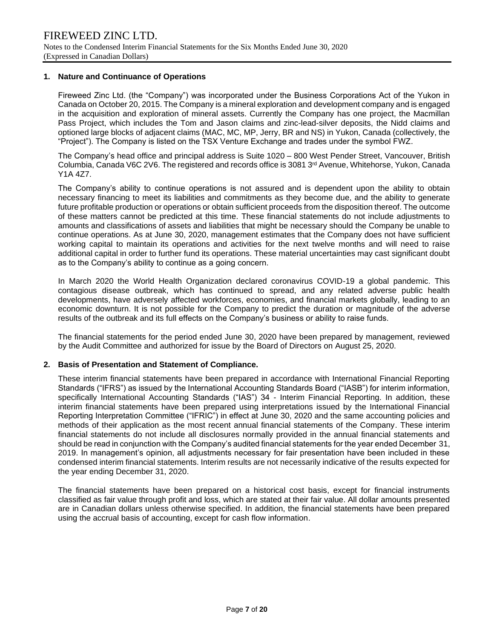#### **1. Nature and Continuance of Operations**

Fireweed Zinc Ltd. (the "Company") was incorporated under the Business Corporations Act of the Yukon in Canada on October 20, 2015. The Company is a mineral exploration and development company and is engaged in the acquisition and exploration of mineral assets. Currently the Company has one project, the Macmillan Pass Project, which includes the Tom and Jason claims and zinc-lead-silver deposits, the Nidd claims and optioned large blocks of adjacent claims (MAC, MC, MP, Jerry, BR and NS) in Yukon, Canada (collectively, the "Project"). The Company is listed on the TSX Venture Exchange and trades under the symbol FWZ.

The Company's head office and principal address is Suite 1020 – 800 West Pender Street, Vancouver, British Columbia, Canada V6C 2V6. The registered and records office is 3081 3rd Avenue, Whitehorse, Yukon, Canada Y1A 4Z7.

The Company's ability to continue operations is not assured and is dependent upon the ability to obtain necessary financing to meet its liabilities and commitments as they become due, and the ability to generate future profitable production or operations or obtain sufficient proceeds from the disposition thereof. The outcome of these matters cannot be predicted at this time. These financial statements do not include adjustments to amounts and classifications of assets and liabilities that might be necessary should the Company be unable to continue operations. As at June 30, 2020, management estimates that the Company does not have sufficient working capital to maintain its operations and activities for the next twelve months and will need to raise additional capital in order to further fund its operations. These material uncertainties may cast significant doubt as to the Company's ability to continue as a going concern.

In March 2020 the World Health Organization declared coronavirus COVID-19 a global pandemic. This contagious disease outbreak, which has continued to spread, and any related adverse public health developments, have adversely affected workforces, economies, and financial markets globally, leading to an economic downturn. It is not possible for the Company to predict the duration or magnitude of the adverse results of the outbreak and its full effects on the Company's business or ability to raise funds.

The financial statements for the period ended June 30, 2020 have been prepared by management, reviewed by the Audit Committee and authorized for issue by the Board of Directors on August 25, 2020.

#### **2. Basis of Presentation and Statement of Compliance.**

These interim financial statements have been prepared in accordance with International Financial Reporting Standards ("IFRS") as issued by the International Accounting Standards Board ("IASB") for interim information, specifically International Accounting Standards ("IAS") 34 - Interim Financial Reporting. In addition, these interim financial statements have been prepared using interpretations issued by the International Financial Reporting Interpretation Committee ("IFRIC") in effect at June 30, 2020 and the same accounting policies and methods of their application as the most recent annual financial statements of the Company. These interim financial statements do not include all disclosures normally provided in the annual financial statements and should be read in conjunction with the Company's audited financial statements for the year ended December 31, 2019. In management's opinion, all adjustments necessary for fair presentation have been included in these condensed interim financial statements. Interim results are not necessarily indicative of the results expected for the year ending December 31, 2020.

The financial statements have been prepared on a historical cost basis, except for financial instruments classified as fair value through profit and loss, which are stated at their fair value. All dollar amounts presented are in Canadian dollars unless otherwise specified. In addition, the financial statements have been prepared using the accrual basis of accounting, except for cash flow information.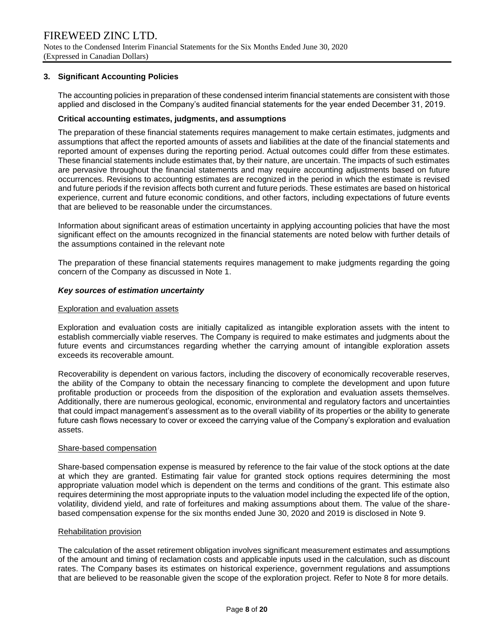#### **3. Significant Accounting Policies**

The accounting policies in preparation of these condensed interim financial statements are consistent with those applied and disclosed in the Company's audited financial statements for the year ended December 31, 2019.

#### **Critical accounting estimates, judgments, and assumptions**

The preparation of these financial statements requires management to make certain estimates, judgments and assumptions that affect the reported amounts of assets and liabilities at the date of the financial statements and reported amount of expenses during the reporting period. Actual outcomes could differ from these estimates. These financial statements include estimates that, by their nature, are uncertain. The impacts of such estimates are pervasive throughout the financial statements and may require accounting adjustments based on future occurrences. Revisions to accounting estimates are recognized in the period in which the estimate is revised and future periods if the revision affects both current and future periods. These estimates are based on historical experience, current and future economic conditions, and other factors, including expectations of future events that are believed to be reasonable under the circumstances.

Information about significant areas of estimation uncertainty in applying accounting policies that have the most significant effect on the amounts recognized in the financial statements are noted below with further details of the assumptions contained in the relevant note

The preparation of these financial statements requires management to make judgments regarding the going concern of the Company as discussed in Note 1.

#### *Key sources of estimation uncertainty*

#### Exploration and evaluation assets

Exploration and evaluation costs are initially capitalized as intangible exploration assets with the intent to establish commercially viable reserves. The Company is required to make estimates and judgments about the future events and circumstances regarding whether the carrying amount of intangible exploration assets exceeds its recoverable amount.

Recoverability is dependent on various factors, including the discovery of economically recoverable reserves, the ability of the Company to obtain the necessary financing to complete the development and upon future profitable production or proceeds from the disposition of the exploration and evaluation assets themselves. Additionally, there are numerous geological, economic, environmental and regulatory factors and uncertainties that could impact management's assessment as to the overall viability of its properties or the ability to generate future cash flows necessary to cover or exceed the carrying value of the Company's exploration and evaluation assets.

#### Share-based compensation

Share-based compensation expense is measured by reference to the fair value of the stock options at the date at which they are granted. Estimating fair value for granted stock options requires determining the most appropriate valuation model which is dependent on the terms and conditions of the grant. This estimate also requires determining the most appropriate inputs to the valuation model including the expected life of the option, volatility, dividend yield, and rate of forfeitures and making assumptions about them. The value of the sharebased compensation expense for the six months ended June 30, 2020 and 2019 is disclosed in Note 9.

#### Rehabilitation provision

The calculation of the asset retirement obligation involves significant measurement estimates and assumptions of the amount and timing of reclamation costs and applicable inputs used in the calculation, such as discount rates. The Company bases its estimates on historical experience, government regulations and assumptions that are believed to be reasonable given the scope of the exploration project. Refer to Note 8 for more details.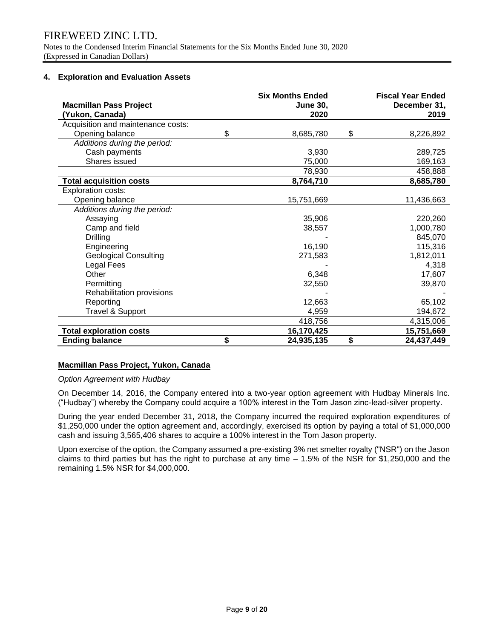Notes to the Condensed Interim Financial Statements for the Six Months Ended June 30, 2020 (Expressed in Canadian Dollars)

#### **4. Exploration and Evaluation Assets**

| <b>Macmillan Pass Project</b><br>(Yukon, Canada) | <b>Six Months Ended</b><br><b>June 30.</b><br>2020 | <b>Fiscal Year Ended</b><br>December 31,<br>2019 |
|--------------------------------------------------|----------------------------------------------------|--------------------------------------------------|
| Acquisition and maintenance costs:               |                                                    |                                                  |
| Opening balance                                  | \$<br>8,685,780                                    | \$<br>8,226,892                                  |
| Additions during the period:                     |                                                    |                                                  |
| Cash payments                                    | 3,930                                              | 289,725                                          |
| Shares issued                                    | 75,000                                             | 169,163                                          |
|                                                  | 78,930                                             | 458,888                                          |
| <b>Total acquisition costs</b>                   | 8,764,710                                          | 8,685,780                                        |
| <b>Exploration costs:</b>                        |                                                    |                                                  |
| Opening balance                                  | 15,751,669                                         | 11,436,663                                       |
| Additions during the period:                     |                                                    |                                                  |
| Assaying                                         | 35,906                                             | 220,260                                          |
| Camp and field                                   | 38,557                                             | 1,000,780                                        |
| <b>Drilling</b>                                  |                                                    | 845,070                                          |
| Engineering                                      | 16,190                                             | 115,316                                          |
| <b>Geological Consulting</b>                     | 271,583                                            | 1,812,011                                        |
| Legal Fees                                       |                                                    | 4,318                                            |
| Other                                            | 6,348                                              | 17,607                                           |
| Permitting                                       | 32,550                                             | 39,870                                           |
| Rehabilitation provisions                        |                                                    |                                                  |
| Reporting                                        | 12,663                                             | 65,102                                           |
| Travel & Support                                 | 4,959                                              | 194,672                                          |
|                                                  | 418,756                                            | 4,315,006                                        |
| <b>Total exploration costs</b>                   | 16,170,425                                         | 15,751,669                                       |
| <b>Ending balance</b>                            | \$<br>24,935,135                                   | \$<br>24,437,449                                 |

#### **Macmillan Pass Project, Yukon, Canada**

#### *Option Agreement with Hudbay*

On December 14, 2016, the Company entered into a two-year option agreement with Hudbay Minerals Inc. ("Hudbay") whereby the Company could acquire a 100% interest in the Tom Jason zinc-lead-silver property.

During the year ended December 31, 2018, the Company incurred the required exploration expenditures of \$1,250,000 under the option agreement and, accordingly, exercised its option by paying a total of \$1,000,000 cash and issuing 3,565,406 shares to acquire a 100% interest in the Tom Jason property.

Upon exercise of the option, the Company assumed a pre-existing 3% net smelter royalty ("NSR") on the Jason claims to third parties but has the right to purchase at any time – 1.5% of the NSR for \$1,250,000 and the remaining 1.5% NSR for \$4,000,000.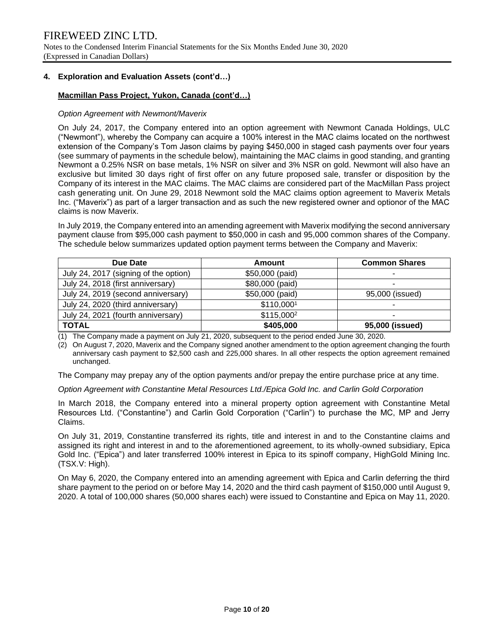Notes to the Condensed Interim Financial Statements for the Six Months Ended June 30, 2020 (Expressed in Canadian Dollars)

#### **4. Exploration and Evaluation Assets (cont'd…)**

#### **Macmillan Pass Project, Yukon, Canada (cont'd…)**

#### *Option Agreement with Newmont/Maverix*

On July 24, 2017, the Company entered into an option agreement with Newmont Canada Holdings, ULC ("Newmont"), whereby the Company can acquire a 100% interest in the MAC claims located on the northwest extension of the Company's Tom Jason claims by paying \$450,000 in staged cash payments over four years (see summary of payments in the schedule below), maintaining the MAC claims in good standing, and granting Newmont a 0.25% NSR on base metals, 1% NSR on silver and 3% NSR on gold. Newmont will also have an exclusive but limited 30 days right of first offer on any future proposed sale, transfer or disposition by the Company of its interest in the MAC claims. The MAC claims are considered part of the MacMillan Pass project cash generating unit. On June 29, 2018 Newmont sold the MAC claims option agreement to Maverix Metals Inc. ("Maverix") as part of a larger transaction and as such the new registered owner and optionor of the MAC claims is now Maverix.

In July 2019, the Company entered into an amending agreement with Maverix modifying the second anniversary payment clause from \$95,000 cash payment to \$50,000 in cash and 95,000 common shares of the Company. The schedule below summarizes updated option payment terms between the Company and Maverix:

| Due Date                              | Amount                 | <b>Common Shares</b> |
|---------------------------------------|------------------------|----------------------|
| July 24, 2017 (signing of the option) | \$50,000 (paid)        |                      |
| July 24, 2018 (first anniversary)     | \$80,000 (paid)        |                      |
| July 24, 2019 (second anniversary)    | \$50,000 (paid)        | 95,000 (issued)      |
| July 24, 2020 (third anniversary)     | \$110,0001             |                      |
| July 24, 2021 (fourth anniversary)    | \$115,000 <sup>2</sup> |                      |
| <b>TOTAL</b>                          | \$405,000              | 95,000 (issued)      |

(1) The Company made a payment on July 21, 2020, subsequent to the period ended June 30, 2020.

(2) On August 7, 2020, Maverix and the Company signed another amendment to the option agreement changing the fourth anniversary cash payment to \$2,500 cash and 225,000 shares. In all other respects the option agreement remained unchanged.

The Company may prepay any of the option payments and/or prepay the entire purchase price at any time.

*Option Agreement with Constantine Metal Resources Ltd./Epica Gold Inc. and Carlin Gold Corporation* 

In March 2018, the Company entered into a mineral property option agreement with Constantine Metal Resources Ltd. ("Constantine") and Carlin Gold Corporation ("Carlin") to purchase the MC, MP and Jerry Claims.

On July 31, 2019, Constantine transferred its rights, title and interest in and to the Constantine claims and assigned its right and interest in and to the aforementioned agreement, to its wholly-owned subsidiary, Epica Gold Inc. ("Epica") and later transferred 100% interest in Epica to its spinoff company, HighGold Mining Inc. (TSX.V: High).

On May 6, 2020, the Company entered into an amending agreement with Epica and Carlin deferring the third share payment to the period on or before May 14, 2020 and the third cash payment of \$150,000 until August 9, 2020. A total of 100,000 shares (50,000 shares each) were issued to Constantine and Epica on May 11, 2020.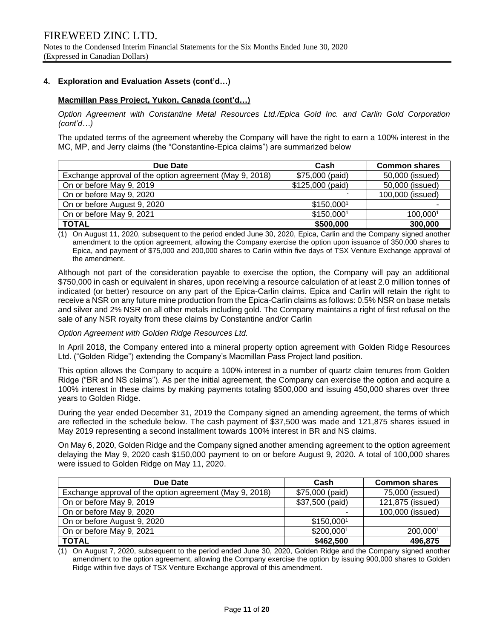#### **4. Exploration and Evaluation Assets (cont'd…)**

#### **Macmillan Pass Project, Yukon, Canada (cont'd…)**

*Option Agreement with Constantine Metal Resources Ltd./Epica Gold Inc. and Carlin Gold Corporation (cont'd…)*

The updated terms of the agreement whereby the Company will have the right to earn a 100% interest in the MC, MP, and Jerry claims (the "Constantine-Epica claims") are summarized below

| Due Date                                                | Cash             | <b>Common shares</b> |
|---------------------------------------------------------|------------------|----------------------|
| Exchange approval of the option agreement (May 9, 2018) | \$75,000 (paid)  | 50,000 (issued)      |
| On or before May 9, 2019                                | \$125,000 (paid) | 50,000 (issued)      |
| On or before May 9, 2020                                |                  | 100,000 (issued)     |
| On or before August 9, 2020                             | \$150,0001       |                      |
| On or before May 9, 2021                                | \$150,0001       | 100,0001             |
| <b>TOTAL</b>                                            | \$500,000        | 300,000              |

(1) On August 11, 2020, subsequent to the period ended June 30, 2020, Epica, Carlin and the Company signed another amendment to the option agreement, allowing the Company exercise the option upon issuance of 350,000 shares to Epica, and payment of \$75,000 and 200,000 shares to Carlin within five days of TSX Venture Exchange approval of the amendment.

Although not part of the consideration payable to exercise the option, the Company will pay an additional \$750,000 in cash or equivalent in shares, upon receiving a resource calculation of at least 2.0 million tonnes of indicated (or better) resource on any part of the Epica-Carlin claims. Epica and Carlin will retain the right to receive a NSR on any future mine production from the Epica-Carlin claims as follows: 0.5% NSR on base metals and silver and 2% NSR on all other metals including gold. The Company maintains a right of first refusal on the sale of any NSR royalty from these claims by Constantine and/or Carlin

#### *Option Agreement with Golden Ridge Resources Ltd.*

In April 2018, the Company entered into a mineral property option agreement with Golden Ridge Resources Ltd. ("Golden Ridge") extending the Company's Macmillan Pass Project land position.

This option allows the Company to acquire a 100% interest in a number of quartz claim tenures from Golden Ridge ("BR and NS claims"). As per the initial agreement, the Company can exercise the option and acquire a 100% interest in these claims by making payments totaling \$500,000 and issuing 450,000 shares over three years to Golden Ridge.

During the year ended December 31, 2019 the Company signed an amending agreement, the terms of which are reflected in the schedule below. The cash payment of \$37,500 was made and 121,875 shares issued in May 2019 representing a second installment towards 100% interest in BR and NS claims.

On May 6, 2020, Golden Ridge and the Company signed another amending agreement to the option agreement delaying the May 9, 2020 cash \$150,000 payment to on or before August 9, 2020. A total of 100,000 shares were issued to Golden Ridge on May 11, 2020.

| Due Date                                                | Cash            | <b>Common shares</b> |
|---------------------------------------------------------|-----------------|----------------------|
| Exchange approval of the option agreement (May 9, 2018) | \$75,000 (paid) | 75,000 (issued)      |
| On or before May 9, 2019                                | \$37,500 (paid) | 121,875 (issued)     |
| On or before May 9, 2020                                |                 | 100,000 (issued)     |
| On or before August 9, 2020                             | \$150,0001      |                      |
| On or before May 9, 2021                                | \$200,0001      | 200,0001             |
| <b>TOTAL</b>                                            | \$462,500       | 496,875              |

(1) On August 7, 2020, subsequent to the period ended June 30, 2020, Golden Ridge and the Company signed another amendment to the option agreement, allowing the Company exercise the option by issuing 900,000 shares to Golden Ridge within five days of TSX Venture Exchange approval of this amendment.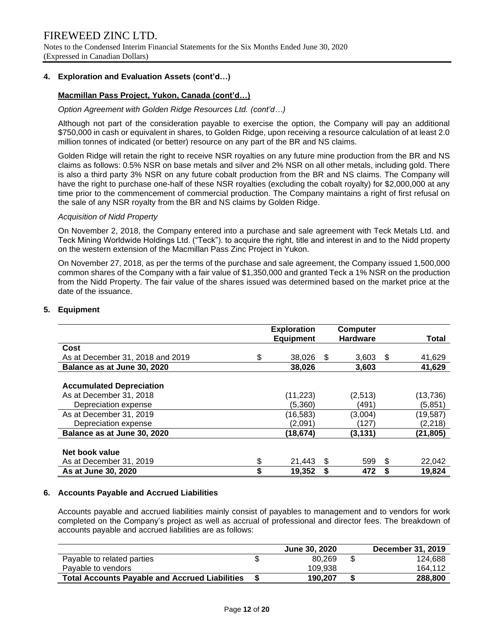Notes to the Condensed Interim Financial Statements for the Six Months Ended June 30, 2020 (Expressed in Canadian Dollars)

#### **4. Exploration and Evaluation Assets (cont'd…)**

#### **Macmillan Pass Project, Yukon, Canada (cont'd…)**

#### *Option Agreement with Golden Ridge Resources Ltd. (cont'd…)*

Although not part of the consideration payable to exercise the option, the Company will pay an additional \$750,000 in cash or equivalent in shares, to Golden Ridge, upon receiving a resource calculation of at least 2.0 million tonnes of indicated (or better) resource on any part of the BR and NS claims.

Golden Ridge will retain the right to receive NSR royalties on any future mine production from the BR and NS claims as follows: 0.5% NSR on base metals and silver and 2% NSR on all other metals, including gold. There is also a third party 3% NSR on any future cobalt production from the BR and NS claims. The Company will have the right to purchase one-half of these NSR royalties (excluding the cobalt royalty) for \$2,000,000 at any time prior to the commencement of commercial production. The Company maintains a right of first refusal on the sale of any NSR royalty from the BR and NS claims by Golden Ridge.

#### *Acquisition of Nidd Property*

On November 2, 2018, the Company entered into a purchase and sale agreement with Teck Metals Ltd. and Teck Mining Worldwide Holdings Ltd. ("Teck"). to acquire the right, title and interest in and to the Nidd property on the western extension of the Macmillan Pass Zinc Project in Yukon.

On November 27, 2018, as per the terms of the purchase and sale agreement, the Company issued 1,500,000 common shares of the Company with a fair value of \$1,350,000 and granted Teck a 1% NSR on the production from the Nidd Property. The fair value of the shares issued was determined based on the market price at the date of the issuance.

#### **5. Equipment**

|                                  | <b>Exploration</b><br><b>Equipment</b> |    | <b>Computer</b><br><b>Hardware</b> |      | Total     |
|----------------------------------|----------------------------------------|----|------------------------------------|------|-----------|
| Cost                             |                                        |    |                                    |      |           |
| As at December 31, 2018 and 2019 | \$<br>38.026                           | -S | 3.603                              | - \$ | 41,629    |
| Balance as at June 30, 2020      | 38,026                                 |    | 3,603                              |      | 41,629    |
|                                  |                                        |    |                                    |      |           |
| <b>Accumulated Depreciation</b>  |                                        |    |                                    |      |           |
| As at December 31, 2018          | (11, 223)                              |    | (2,513)                            |      | (13, 736) |
| Depreciation expense             | (5.360)                                |    | (491)                              |      | (5,851)   |
| As at December 31, 2019          | (16, 583)                              |    | (3,004)                            |      | (19, 587) |
| Depreciation expense             | (2,091)                                |    | (127)                              |      | (2, 218)  |
| Balance as at June 30, 2020      | (18,674)                               |    | (3, 131)                           |      | (21, 805) |
|                                  |                                        |    |                                    |      |           |
| Net book value                   |                                        |    |                                    |      |           |
| As at December 31, 2019          | \$<br>21.443                           | S  | 599                                | S    | 22,042    |
| As at June 30, 2020              | \$<br>19,352                           | \$ | 472                                | \$   | 19,824    |

#### **6. Accounts Payable and Accrued Liabilities**

Accounts payable and accrued liabilities mainly consist of payables to management and to vendors for work completed on the Company's project as well as accrual of professional and director fees. The breakdown of accounts payable and accrued liabilities are as follows:

|                                                       | <b>June 30, 2020</b> | December 31, 2019 |
|-------------------------------------------------------|----------------------|-------------------|
| Payable to related parties                            | 80.269               | 124.688           |
| Pavable to vendors                                    | 109.938              | 164.112           |
| <b>Total Accounts Payable and Accrued Liabilities</b> | 190.207              | 288,800           |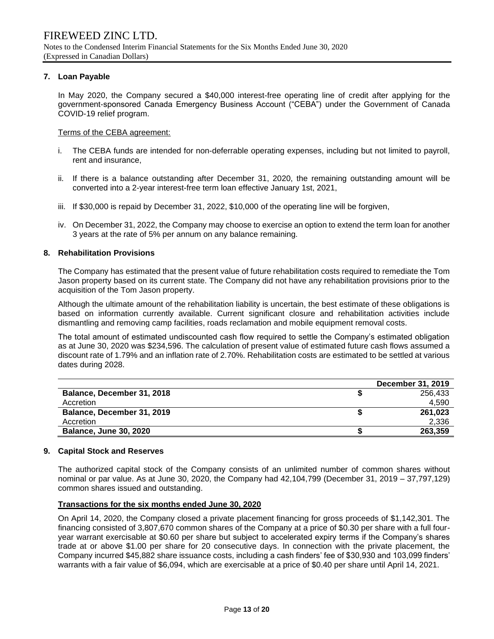#### **7. Loan Payable**

In May 2020, the Company secured a \$40,000 interest-free operating line of credit after applying for the government-sponsored Canada Emergency Business Account ("CEBA") under the Government of Canada COVID-19 relief program.

#### Terms of the CEBA agreement:

- i. The CEBA funds are intended for non-deferrable operating expenses, including but not limited to payroll, rent and insurance,
- ii. If there is a balance outstanding after December 31, 2020, the remaining outstanding amount will be converted into a 2-year interest-free term loan effective January 1st, 2021,
- iii. If \$30,000 is repaid by December 31, 2022, \$10,000 of the operating line will be forgiven,
- iv. On December 31, 2022, the Company may choose to exercise an option to extend the term loan for another 3 years at the rate of 5% per annum on any balance remaining.

#### **8. Rehabilitation Provisions**

The Company has estimated that the present value of future rehabilitation costs required to remediate the Tom Jason property based on its current state. The Company did not have any rehabilitation provisions prior to the acquisition of the Tom Jason property.

Although the ultimate amount of the rehabilitation liability is uncertain, the best estimate of these obligations is based on information currently available. Current significant closure and rehabilitation activities include dismantling and removing camp facilities, roads reclamation and mobile equipment removal costs.

The total amount of estimated undiscounted cash flow required to settle the Company's estimated obligation as at June 30, 2020 was \$234,596. The calculation of present value of estimated future cash flows assumed a discount rate of 1.79% and an inflation rate of 2.70%. Rehabilitation costs are estimated to be settled at various dates during 2028.

|                               | December 31, 2019 |
|-------------------------------|-------------------|
| Balance, December 31, 2018    | 256.433           |
| Accretion                     | 4.590             |
| Balance, December 31, 2019    | 261.023           |
| Accretion                     | 2.336             |
| <b>Balance, June 30, 2020</b> | 263,359           |

#### **9. Capital Stock and Reserves**

The authorized capital stock of the Company consists of an unlimited number of common shares without nominal or par value. As at June 30, 2020, the Company had 42,104,799 (December 31, 2019 – 37,797,129) common shares issued and outstanding.

#### **Transactions for the six months ended June 30, 2020**

On April 14, 2020, the Company closed a private placement financing for gross proceeds of \$1,142,301. The financing consisted of 3,807,670 common shares of the Company at a price of \$0.30 per share with a full fouryear warrant exercisable at \$0.60 per share but subject to accelerated expiry terms if the Company's shares trade at or above \$1.00 per share for 20 consecutive days. In connection with the private placement, the Company incurred \$45,882 share issuance costs, including a cash finders' fee of \$30,930 and 103,099 finders' warrants with a fair value of \$6,094, which are exercisable at a price of \$0.40 per share until April 14, 2021.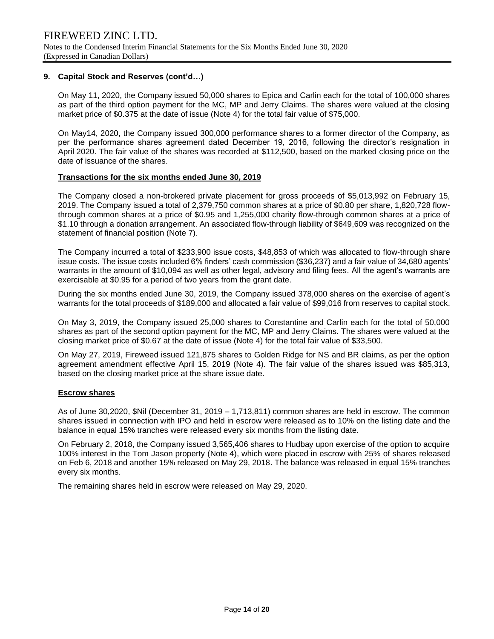#### **9. Capital Stock and Reserves (cont'd…)**

On May 11, 2020, the Company issued 50,000 shares to Epica and Carlin each for the total of 100,000 shares as part of the third option payment for the MC, MP and Jerry Claims. The shares were valued at the closing market price of \$0.375 at the date of issue (Note 4) for the total fair value of \$75,000.

On May14, 2020, the Company issued 300,000 performance shares to a former director of the Company, as per the performance shares agreement dated December 19, 2016, following the director's resignation in April 2020. The fair value of the shares was recorded at \$112,500, based on the marked closing price on the date of issuance of the shares.

#### **Transactions for the six months ended June 30, 2019**

The Company closed a non-brokered private placement for gross proceeds of \$5,013,992 on February 15, 2019. The Company issued a total of 2,379,750 common shares at a price of \$0.80 per share, 1,820,728 flowthrough common shares at a price of \$0.95 and 1,255,000 charity flow-through common shares at a price of \$1.10 through a donation arrangement. An associated flow-through liability of \$649,609 was recognized on the statement of financial position (Note 7).

The Company incurred a total of \$233,900 issue costs, \$48,853 of which was allocated to flow-through share issue costs. The issue costs included 6% finders' cash commission (\$36,237) and a fair value of 34,680 agents' warrants in the amount of \$10,094 as well as other legal, advisory and filing fees. All the agent's warrants are exercisable at \$0.95 for a period of two years from the grant date.

During the six months ended June 30, 2019, the Company issued 378,000 shares on the exercise of agent's warrants for the total proceeds of \$189,000 and allocated a fair value of \$99,016 from reserves to capital stock.

On May 3, 2019, the Company issued 25,000 shares to Constantine and Carlin each for the total of 50,000 shares as part of the second option payment for the MC, MP and Jerry Claims. The shares were valued at the closing market price of \$0.67 at the date of issue (Note 4) for the total fair value of \$33,500.

On May 27, 2019, Fireweed issued 121,875 shares to Golden Ridge for NS and BR claims, as per the option agreement amendment effective April 15, 2019 (Note 4). The fair value of the shares issued was \$85,313, based on the closing market price at the share issue date.

#### **Escrow shares**

As of June 30,2020, \$Nil (December 31, 2019 – 1,713,811) common shares are held in escrow. The common shares issued in connection with IPO and held in escrow were released as to 10% on the listing date and the balance in equal 15% tranches were released every six months from the listing date.

On February 2, 2018, the Company issued 3,565,406 shares to Hudbay upon exercise of the option to acquire 100% interest in the Tom Jason property (Note 4), which were placed in escrow with 25% of shares released on Feb 6, 2018 and another 15% released on May 29, 2018. The balance was released in equal 15% tranches every six months.

The remaining shares held in escrow were released on May 29, 2020.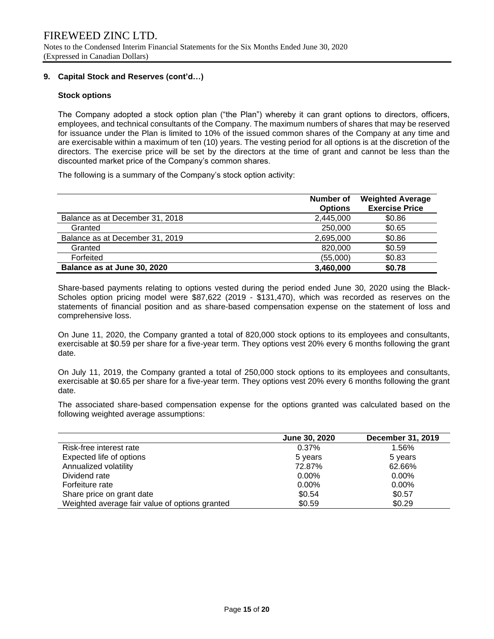#### **9. Capital Stock and Reserves (cont'd…)**

#### **Stock options**

The Company adopted a stock option plan ("the Plan") whereby it can grant options to directors, officers, employees, and technical consultants of the Company. The maximum numbers of shares that may be reserved for issuance under the Plan is limited to 10% of the issued common shares of the Company at any time and are exercisable within a maximum of ten (10) years. The vesting period for all options is at the discretion of the directors. The exercise price will be set by the directors at the time of grant and cannot be less than the discounted market price of the Company's common shares.

The following is a summary of the Company's stock option activity:

|                                 | Number of<br><b>Options</b> | <b>Weighted Average</b><br><b>Exercise Price</b> |
|---------------------------------|-----------------------------|--------------------------------------------------|
| Balance as at December 31, 2018 | 2,445,000                   | \$0.86                                           |
| Granted                         | 250,000                     | \$0.65                                           |
| Balance as at December 31, 2019 | 2,695,000                   | \$0.86                                           |
| Granted                         | 820,000                     | \$0.59                                           |
| Forfeited                       | (55,000)                    | \$0.83                                           |
| Balance as at June 30, 2020     | 3,460,000                   | \$0.78                                           |

Share-based payments relating to options vested during the period ended June 30, 2020 using the Black-Scholes option pricing model were \$87,622 (2019 - \$131,470), which was recorded as reserves on the statements of financial position and as share-based compensation expense on the statement of loss and comprehensive loss.

On June 11, 2020, the Company granted a total of 820,000 stock options to its employees and consultants, exercisable at \$0.59 per share for a five-year term. They options vest 20% every 6 months following the grant date.

On July 11, 2019, the Company granted a total of 250,000 stock options to its employees and consultants, exercisable at \$0.65 per share for a five-year term. They options vest 20% every 6 months following the grant date.

The associated share-based compensation expense for the options granted was calculated based on the following weighted average assumptions:

|                                                | June 30, 2020 | December 31, 2019 |
|------------------------------------------------|---------------|-------------------|
| Risk-free interest rate                        | 0.37%         | 1.56%             |
| Expected life of options                       | 5 years       | 5 years           |
| Annualized volatility                          | 72.87%        | 62.66%            |
| Dividend rate                                  | $0.00\%$      | $0.00\%$          |
| Forfeiture rate                                | $0.00\%$      | $0.00\%$          |
| Share price on grant date                      | \$0.54        | \$0.57            |
| Weighted average fair value of options granted | \$0.59        | \$0.29            |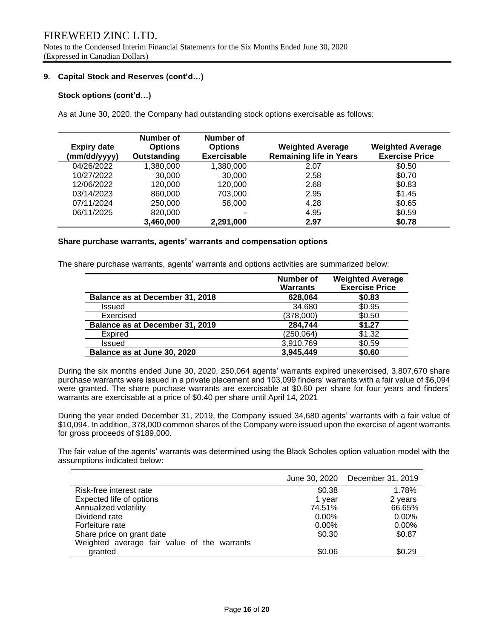Notes to the Condensed Interim Financial Statements for the Six Months Ended June 30, 2020 (Expressed in Canadian Dollars)

#### **9. Capital Stock and Reserves (cont'd…)**

#### **Stock options (cont'd…)**

As at June 30, 2020, the Company had outstanding stock options exercisable as follows:

| <b>Expiry date</b><br>(mm/dd/yyyy) | Number of<br><b>Options</b><br>Outstanding | Number of<br><b>Options</b><br><b>Exercisable</b> | <b>Weighted Average</b><br><b>Remaining life in Years</b> | <b>Weighted Average</b><br><b>Exercise Price</b> |
|------------------------------------|--------------------------------------------|---------------------------------------------------|-----------------------------------------------------------|--------------------------------------------------|
| 04/26/2022                         | 1,380,000                                  | 1,380,000                                         | 2.07                                                      | \$0.50                                           |
| 10/27/2022                         | 30,000                                     | 30,000                                            | 2.58                                                      | \$0.70                                           |
| 12/06/2022                         | 120,000                                    | 120,000                                           | 2.68                                                      | \$0.83                                           |
| 03/14/2023                         | 860,000                                    | 703,000                                           | 2.95                                                      | \$1.45                                           |
| 07/11/2024                         | 250,000                                    | 58,000                                            | 4.28                                                      | \$0.65                                           |
| 06/11/2025                         | 820,000                                    |                                                   | 4.95                                                      | \$0.59                                           |
|                                    | 3,460,000                                  | 2,291,000                                         | 2.97                                                      | \$0.78                                           |

#### **Share purchase warrants, agents' warrants and compensation options**

The share purchase warrants, agents' warrants and options activities are summarized below:

|                                 | Number of<br><b>Warrants</b> | <b>Weighted Average</b><br><b>Exercise Price</b> |
|---------------------------------|------------------------------|--------------------------------------------------|
| Balance as at December 31, 2018 | 628,064                      | \$0.83                                           |
| <b>Issued</b>                   | 34,680                       | \$0.95                                           |
| Exercised                       | (378,000)                    | \$0.50                                           |
| Balance as at December 31, 2019 | 284,744                      | \$1.27                                           |
| Expired                         | (250, 064)                   | \$1.32                                           |
| <b>Issued</b>                   | 3,910,769                    | \$0.59                                           |
| Balance as at June 30, 2020     | 3,945,449                    | \$0.60                                           |

During the six months ended June 30, 2020, 250,064 agents' warrants expired unexercised, 3,807,670 share purchase warrants were issued in a private placement and 103,099 finders' warrants with a fair value of \$6,094 were granted. The share purchase warrants are exercisable at \$0.60 per share for four years and finders' warrants are exercisable at a price of \$0.40 per share until April 14, 2021

During the year ended December 31, 2019, the Company issued 34,680 agents' warrants with a fair value of \$10,094. In addition, 378,000 common shares of the Company were issued upon the exercise of agent warrants for gross proceeds of \$189,000.

The fair value of the agents' warrants was determined using the Black Scholes option valuation model with the assumptions indicated below:

|                                             |          | June 30, 2020 December 31, 2019 |
|---------------------------------------------|----------|---------------------------------|
| Risk-free interest rate                     | \$0.38   | 1.78%                           |
| Expected life of options                    | 1 year   | 2 years                         |
| Annualized volatility                       | 74.51%   | 66.65%                          |
| Dividend rate                               | $0.00\%$ | $0.00\%$                        |
| Forfeiture rate                             | $0.00\%$ | $0.00\%$                        |
| Share price on grant date                   | \$0.30   | \$0.87                          |
| Weighted average fair value of the warrants |          |                                 |
| granted                                     | \$0.06   | \$0.29                          |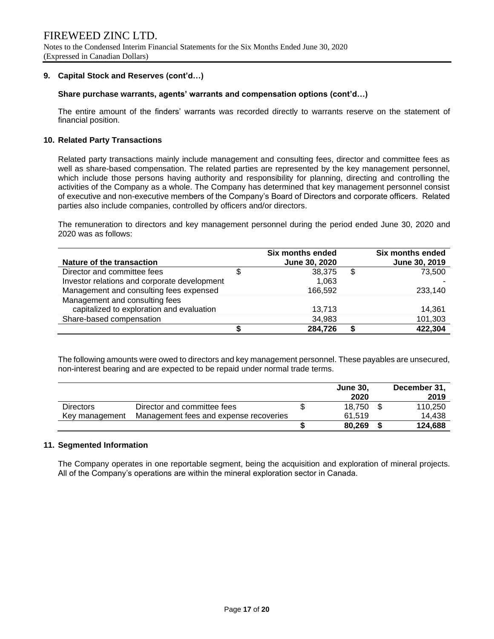#### **9. Capital Stock and Reserves (cont'd…)**

#### **Share purchase warrants, agents' warrants and compensation options (cont'd…)**

The entire amount of the finders' warrants was recorded directly to warrants reserve on the statement of financial position.

#### **10. Related Party Transactions**

Related party transactions mainly include management and consulting fees, director and committee fees as well as share-based compensation. The related parties are represented by the key management personnel, which include those persons having authority and responsibility for planning, directing and controlling the activities of the Company as a whole. The Company has determined that key management personnel consist of executive and non-executive members of the Company's Board of Directors and corporate officers. Related parties also include companies, controlled by officers and/or directors.

The remuneration to directors and key management personnel during the period ended June 30, 2020 and 2020 was as follows:

|                                              | Six months ended | <b>Six months ended</b> |
|----------------------------------------------|------------------|-------------------------|
| Nature of the transaction                    | June 30, 2020    | June 30, 2019           |
| Director and committee fees                  | 38.375           | \$<br>73,500            |
| Investor relations and corporate development | 1.063            |                         |
| Management and consulting fees expensed      | 166,592          | 233,140                 |
| Management and consulting fees               |                  |                         |
| capitalized to exploration and evaluation    | 13.713           | 14.361                  |
| Share-based compensation                     | 34,983           | 101,303                 |
|                                              | 284,726          | 422,304                 |

The following amounts were owed to directors and key management personnel. These payables are unsecured, non-interest bearing and are expected to be repaid under normal trade terms.

|                  |                                        | <b>June 30.</b> | December 31, |
|------------------|----------------------------------------|-----------------|--------------|
|                  |                                        | 2020            | 2019         |
| <b>Directors</b> | Director and committee fees            | 18.750          | 110.250      |
| Key management   | Management fees and expense recoveries | 61.519          | 14.438       |
|                  |                                        | 80,269          | 124,688      |

#### **11. Segmented Information**

The Company operates in one reportable segment, being the acquisition and exploration of mineral projects. All of the Company's operations are within the mineral exploration sector in Canada.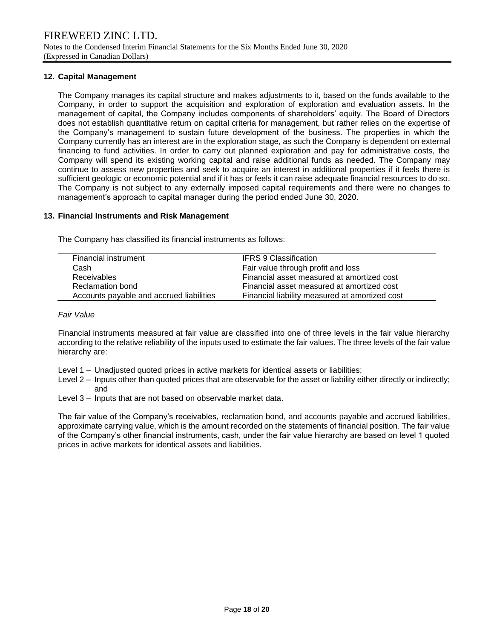#### **12. Capital Management**

The Company manages its capital structure and makes adjustments to it, based on the funds available to the Company, in order to support the acquisition and exploration of exploration and evaluation assets. In the management of capital, the Company includes components of shareholders' equity. The Board of Directors does not establish quantitative return on capital criteria for management, but rather relies on the expertise of the Company's management to sustain future development of the business. The properties in which the Company currently has an interest are in the exploration stage, as such the Company is dependent on external financing to fund activities. In order to carry out planned exploration and pay for administrative costs, the Company will spend its existing working capital and raise additional funds as needed. The Company may continue to assess new properties and seek to acquire an interest in additional properties if it feels there is sufficient geologic or economic potential and if it has or feels it can raise adequate financial resources to do so. The Company is not subject to any externally imposed capital requirements and there were no changes to management's approach to capital manager during the period ended June 30, 2020.

#### **13. Financial Instruments and Risk Management**

The Company has classified its financial instruments as follows:

| Financial instrument                     | <b>IFRS 9 Classification</b>                   |
|------------------------------------------|------------------------------------------------|
| Cash                                     | Fair value through profit and loss             |
| <b>Receivables</b>                       | Financial asset measured at amortized cost     |
| Reclamation bond                         | Financial asset measured at amortized cost     |
| Accounts payable and accrued liabilities | Financial liability measured at amortized cost |

#### *Fair Value*

Financial instruments measured at fair value are classified into one of three levels in the fair value hierarchy according to the relative reliability of the inputs used to estimate the fair values. The three levels of the fair value hierarchy are:

- Level 1 Unadjusted quoted prices in active markets for identical assets or liabilities;
- Level 2 Inputs other than quoted prices that are observable for the asset or liability either directly or indirectly; and
- Level 3 Inputs that are not based on observable market data.

The fair value of the Company's receivables, reclamation bond, and accounts payable and accrued liabilities, approximate carrying value, which is the amount recorded on the statements of financial position. The fair value of the Company's other financial instruments, cash, under the fair value hierarchy are based on level 1 quoted prices in active markets for identical assets and liabilities.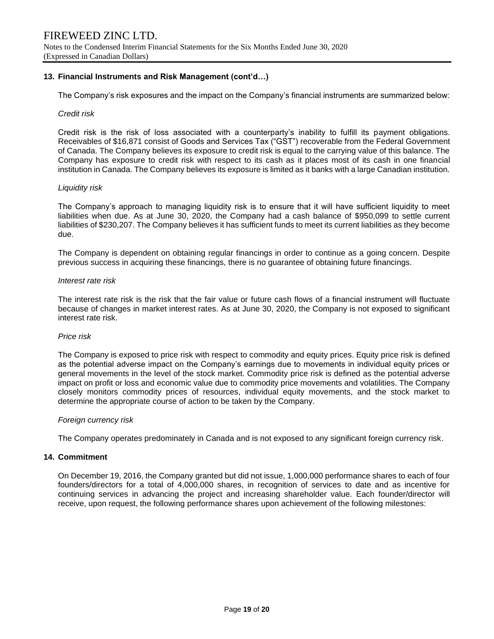#### **13. Financial Instruments and Risk Management (cont'd…)**

The Company's risk exposures and the impact on the Company's financial instruments are summarized below:

#### *Credit risk*

Credit risk is the risk of loss associated with a counterparty's inability to fulfill its payment obligations. Receivables of \$16,871 consist of Goods and Services Tax ("GST") recoverable from the Federal Government of Canada. The Company believes its exposure to credit risk is equal to the carrying value of this balance. The Company has exposure to credit risk with respect to its cash as it places most of its cash in one financial institution in Canada. The Company believes its exposure is limited as it banks with a large Canadian institution.

#### *Liquidity risk*

The Company's approach to managing liquidity risk is to ensure that it will have sufficient liquidity to meet liabilities when due. As at June 30, 2020, the Company had a cash balance of \$950,099 to settle current liabilities of \$230,207. The Company believes it has sufficient funds to meet its current liabilities as they become due.

The Company is dependent on obtaining regular financings in order to continue as a going concern. Despite previous success in acquiring these financings, there is no guarantee of obtaining future financings.

#### *Interest rate risk*

The interest rate risk is the risk that the fair value or future cash flows of a financial instrument will fluctuate because of changes in market interest rates. As at June 30, 2020, the Company is not exposed to significant interest rate risk.

#### *Price risk*

The Company is exposed to price risk with respect to commodity and equity prices. Equity price risk is defined as the potential adverse impact on the Company's earnings due to movements in individual equity prices or general movements in the level of the stock market. Commodity price risk is defined as the potential adverse impact on profit or loss and economic value due to commodity price movements and volatilities. The Company closely monitors commodity prices of resources, individual equity movements, and the stock market to determine the appropriate course of action to be taken by the Company.

#### *Foreign currency risk*

The Company operates predominately in Canada and is not exposed to any significant foreign currency risk.

#### **14. Commitment**

On December 19, 2016, the Company granted but did not issue, 1,000,000 performance shares to each of four founders/directors for a total of 4,000,000 shares, in recognition of services to date and as incentive for continuing services in advancing the project and increasing shareholder value. Each founder/director will receive, upon request, the following performance shares upon achievement of the following milestones: